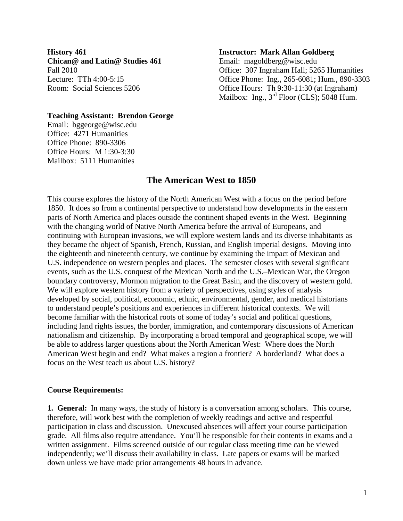**History 461 Chican@ and Latin@ Studies 461**  Fall 2010 Lecture: TTh 4:00-5:15 Room: Social Sciences 5206

#### **Instructor: Mark Allan Goldberg**

Email: magoldberg@wisc.edu Office: 307 Ingraham Hall; 5265 Humanities Office Phone: Ing., 265-6081; Hum., 890-3303 Office Hours: Th 9:30-11:30 (at Ingraham) Mailbox: Ing.,  $3<sup>rd</sup>$  Floor (CLS); 5048 Hum.

## **Teaching Assistant: Brendon George**

Email: bggeorge@wisc.edu Office: 4271 Humanities Office Phone: 890-3306 Office Hours: M 1:30-3:30 Mailbox: 5111 Humanities

# **The American West to 1850**

This course explores the history of the North American West with a focus on the period before 1850. It does so from a continental perspective to understand how developments in the eastern parts of North America and places outside the continent shaped events in the West. Beginning with the changing world of Native North America before the arrival of Europeans, and continuing with European invasions, we will explore western lands and its diverse inhabitants as they became the object of Spanish, French, Russian, and English imperial designs. Moving into the eighteenth and nineteenth century, we continue by examining the impact of Mexican and U.S. independence on western peoples and places. The semester closes with several significant events, such as the U.S. conquest of the Mexican North and the U.S.–Mexican War, the Oregon boundary controversy, Mormon migration to the Great Basin, and the discovery of western gold. We will explore western history from a variety of perspectives, using styles of analysis developed by social, political, economic, ethnic, environmental, gender, and medical historians to understand people's positions and experiences in different historical contexts. We will become familiar with the historical roots of some of today's social and political questions, including land rights issues, the border, immigration, and contemporary discussions of American nationalism and citizenship. By incorporating a broad temporal and geographical scope, we will be able to address larger questions about the North American West: Where does the North American West begin and end? What makes a region a frontier? A borderland? What does a focus on the West teach us about U.S. history?

#### **Course Requirements:**

**1. General:** In many ways, the study of history is a conversation among scholars. This course, therefore, will work best with the completion of weekly readings and active and respectful participation in class and discussion. Unexcused absences will affect your course participation grade. All films also require attendance. You'll be responsible for their contents in exams and a written assignment. Films screened outside of our regular class meeting time can be viewed independently; we'll discuss their availability in class. Late papers or exams will be marked down unless we have made prior arrangements 48 hours in advance.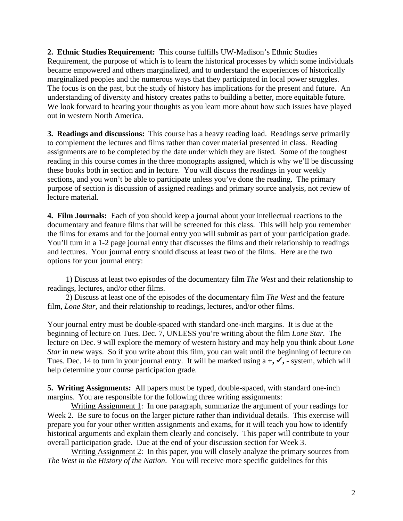**2. Ethnic Studies Requirement:** This course fulfills UW-Madison's Ethnic Studies Requirement, the purpose of which is to learn the historical processes by which some individuals became empowered and others marginalized, and to understand the experiences of historically marginalized peoples and the numerous ways that they participated in local power struggles. The focus is on the past, but the study of history has implications for the present and future. An understanding of diversity and history creates paths to building a better, more equitable future. We look forward to hearing your thoughts as you learn more about how such issues have played out in western North America.

**3. Readings and discussions:** This course has a heavy reading load. Readings serve primarily to complement the lectures and films rather than cover material presented in class. Reading assignments are to be completed by the date under which they are listed*.* Some of the toughest reading in this course comes in the three monographs assigned, which is why we'll be discussing these books both in section and in lecture. You will discuss the readings in your weekly sections, and you won't be able to participate unless you've done the reading. The primary purpose of section is discussion of assigned readings and primary source analysis, not review of lecture material.

**4. Film Journals:** Each of you should keep a journal about your intellectual reactions to the documentary and feature films that will be screened for this class. This will help you remember the films for exams and for the journal entry you will submit as part of your participation grade. You'll turn in a 1-2 page journal entry that discusses the films and their relationship to readings and lectures. Your journal entry should discuss at least two of the films. Here are the two options for your journal entry:

 1) Discuss at least two episodes of the documentary film *The West* and their relationship to readings, lectures, and/or other films.

 2) Discuss at least one of the episodes of the documentary film *The West* and the feature film, *Lone Star*, and their relationship to readings, lectures, and/or other films.

Your journal entry must be double-spaced with standard one-inch margins. It is due at the beginning of lecture on Tues. Dec. 7, UNLESS you're writing about the film *Lone Star.* The lecture on Dec. 9 will explore the memory of western history and may help you think about *Lone Star* in new ways. So if you write about this film*,* you can wait until the beginning of lecture on Tues. Dec. 14 to turn in your journal entry. It will be marked using  $a +$ ,  $\checkmark$ ,  $\checkmark$ ,  $\checkmark$ , system, which will help determine your course participation grade.

**5. Writing Assignments:** All papers must be typed, double-spaced, with standard one-inch margins. You are responsible for the following three writing assignments:

Writing Assignment 1: In one paragraph, summarize the argument of your readings for Week 2. Be sure to focus on the larger picture rather than individual details. This exercise will prepare you for your other written assignments and exams, for it will teach you how to identify historical arguments and explain them clearly and concisely. This paper will contribute to your overall participation grade. Due at the end of your discussion section for Week 3.

Writing Assignment 2: In this paper, you will closely analyze the primary sources from *The West in the History of the Nation*. You will receive more specific guidelines for this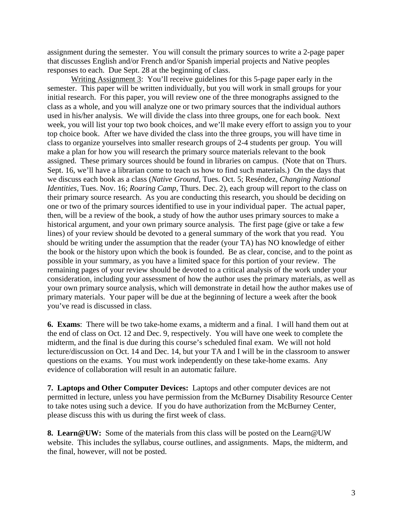assignment during the semester. You will consult the primary sources to write a 2-page paper that discusses English and/or French and/or Spanish imperial projects and Native peoples responses to each. Due Sept. 28 at the beginning of class.

Writing Assignment 3: You'll receive guidelines for this 5-page paper early in the semester. This paper will be written individually, but you will work in small groups for your initial research. For this paper, you will review one of the three monographs assigned to the class as a whole, and you will analyze one or two primary sources that the individual authors used in his/her analysis. We will divide the class into three groups, one for each book. Next week, you will list your top two book choices, and we'll make every effort to assign you to your top choice book. After we have divided the class into the three groups, you will have time in class to organize yourselves into smaller research groups of 2-4 students per group. You will make a plan for how you will research the primary source materials relevant to the book assigned. These primary sources should be found in libraries on campus. (Note that on Thurs. Sept. 16, we'll have a librarian come to teach us how to find such materials.) On the days that we discuss each book as a class (*Native Ground*, Tues. Oct. 5; Reséndez, *Changing National Identities*, Tues. Nov. 16; *Roaring Camp*, Thurs. Dec. 2), each group will report to the class on their primary source research. As you are conducting this research, you should be deciding on one or two of the primary sources identified to use in your individual paper. The actual paper, then, will be a review of the book, a study of how the author uses primary sources to make a historical argument, and your own primary source analysis. The first page (give or take a few lines) of your review should be devoted to a general summary of the work that you read. You should be writing under the assumption that the reader (your TA) has NO knowledge of either the book or the history upon which the book is founded. Be as clear, concise, and to the point as possible in your summary, as you have a limited space for this portion of your review. The remaining pages of your review should be devoted to a critical analysis of the work under your consideration, including your assessment of how the author uses the primary materials, as well as your own primary source analysis, which will demonstrate in detail how the author makes use of primary materials. Your paper will be due at the beginning of lecture a week after the book you've read is discussed in class.

**6. Exams**: There will be two take-home exams, a midterm and a final. I will hand them out at the end of class on Oct. 12 and Dec. 9, respectively. You will have one week to complete the midterm, and the final is due during this course's scheduled final exam. We will not hold lecture/discussion on Oct. 14 and Dec. 14, but your TA and I will be in the classroom to answer questions on the exams. You must work independently on these take-home exams. Any evidence of collaboration will result in an automatic failure.

**7. Laptops and Other Computer Devices:** Laptops and other computer devices are not permitted in lecture, unless you have permission from the McBurney Disability Resource Center to take notes using such a device. If you do have authorization from the McBurney Center, please discuss this with us during the first week of class.

**8. Learn@UW:** Some of the materials from this class will be posted on the Learn@UW website. This includes the syllabus, course outlines, and assignments. Maps, the midterm, and the final, however, will not be posted.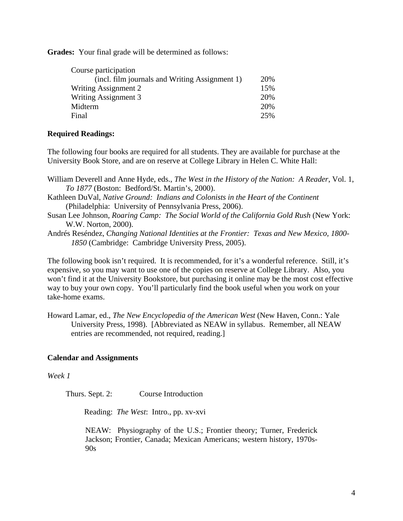**Grades:** Your final grade will be determined as follows:

| Course participation                           |     |
|------------------------------------------------|-----|
| (incl. film journals and Writing Assignment 1) | 20% |
| Writing Assignment 2                           | 15% |
| Writing Assignment 3                           | 20% |
| Midterm                                        | 20% |
| Final                                          | 25% |

# **Required Readings:**

The following four books are required for all students. They are available for purchase at the University Book Store, and are on reserve at College Library in Helen C. White Hall:

- William Deverell and Anne Hyde, eds., *The West in the History of the Nation: A Reader*, Vol. 1, *To 1877* (Boston: Bedford/St. Martin's, 2000).
- Kathleen DuVal, *Native Ground: Indians and Colonists in the Heart of the Continent*  (Philadelphia: University of Pennsylvania Press, 2006).
- Susan Lee Johnson, *Roaring Camp: The Social World of the California Gold Rush* (New York: W.W. Norton, 2000).
- Andrés Reséndez, *Changing National Identities at the Frontier: Texas and New Mexico, 1800- 1850* (Cambridge: Cambridge University Press, 2005).

The following book isn't required. It is recommended, for it's a wonderful reference. Still, it's expensive, so you may want to use one of the copies on reserve at College Library. Also, you won't find it at the University Bookstore, but purchasing it online may be the most cost effective way to buy your own copy. You'll particularly find the book useful when you work on your take-home exams.

Howard Lamar, ed., *The New Encyclopedia of the American West* (New Haven, Conn.: Yale University Press, 1998). [Abbreviated as NEAW in syllabus. Remember, all NEAW entries are recommended, not required, reading.]

# **Calendar and Assignments**

*Week 1*

Thurs. Sept. 2: Course Introduction

Reading: *The West*: Intro., pp. xv-xvi

NEAW: Physiography of the U.S.; Frontier theory; Turner, Frederick Jackson; Frontier, Canada; Mexican Americans; western history, 1970s-90s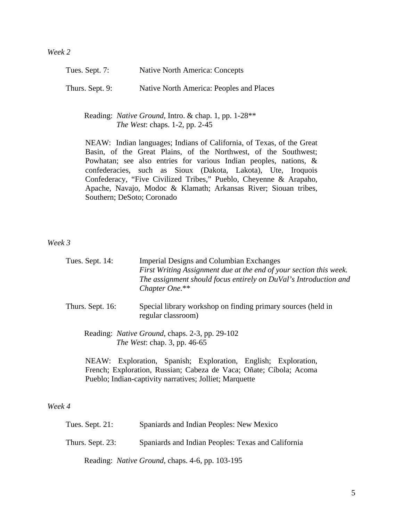| Tues. Sept. 7:  | Native North America: Concepts           |
|-----------------|------------------------------------------|
| Thurs. Sept. 9: | Native North America: Peoples and Places |

 Reading: *Native Ground*, Intro. & chap. 1, pp. 1-28\*\* *The West*: chaps. 1-2, pp. 2-45

NEAW: Indian languages; Indians of California, of Texas, of the Great Basin, of the Great Plains, of the Northwest, of the Southwest; Powhatan; see also entries for various Indian peoples, nations, & confederacies, such as Sioux (Dakota, Lakota), Ute, Iroquois Confederacy, "Five Civilized Tribes," Pueblo, Cheyenne & Arapaho, Apache, Navajo, Modoc & Klamath; Arkansas River; Siouan tribes, Southern; DeSoto; Coronado

*Week 3*

| Tues. Sept. 14:                                                                               |  | Chapter One.**     | <b>Imperial Designs and Columbian Exchanges</b>          | First Writing Assignment due at the end of your section this week.<br>The assignment should focus entirely on DuVal's Introduction and |  |
|-----------------------------------------------------------------------------------------------|--|--------------------|----------------------------------------------------------|----------------------------------------------------------------------------------------------------------------------------------------|--|
| Thurs. Sept. 16:                                                                              |  | regular classroom) |                                                          | Special library workshop on finding primary sources (held in                                                                           |  |
| Reading: <i>Native Ground</i> , chaps. 2-3, pp. 29-102<br><i>The West: chap.</i> 3, pp. 46-65 |  |                    |                                                          |                                                                                                                                        |  |
| NEAW:                                                                                         |  |                    | Exploration, Spanish; Exploration, English; Exploration, |                                                                                                                                        |  |

French; Exploration, Russian; Cabeza de Vaca; Oñate; Cíbola; Acoma Pueblo; Indian-captivity narratives; Jolliet; Marquette

# *Week 4*

| Tues. Sept. 21:  | Spaniards and Indian Peoples: New Mexico                |
|------------------|---------------------------------------------------------|
| Thurs. Sept. 23: | Spaniards and Indian Peoples: Texas and California      |
|                  | Reading: <i>Native Ground</i> , chaps. 4-6, pp. 103-195 |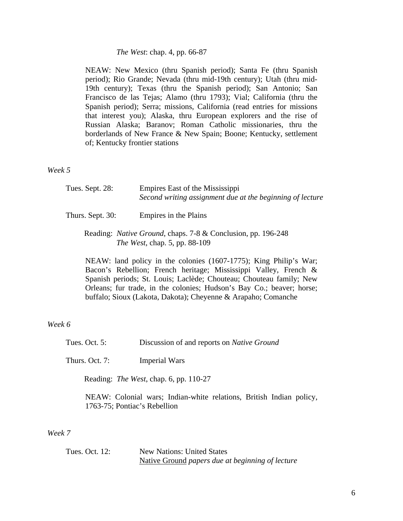#### *The West*: chap. 4, pp. 66-87

NEAW: New Mexico (thru Spanish period); Santa Fe (thru Spanish period); Rio Grande; Nevada (thru mid-19th century); Utah (thru mid-19th century); Texas (thru the Spanish period); San Antonio; San Francisco de las Tejas; Alamo (thru 1793); Vial; California (thru the Spanish period); Serra; missions, California (read entries for missions that interest you); Alaska, thru European explorers and the rise of Russian Alaska; Baranov; Roman Catholic missionaries, thru the borderlands of New France & New Spain; Boone; Kentucky, settlement of; Kentucky frontier stations

*Week 5*

| Tues. Sept. 28:  | Empires East of the Mississippi<br>Second writing assignment due at the beginning of lecture |
|------------------|----------------------------------------------------------------------------------------------|
| Thurs. Sept. 30: | Empires in the Plains                                                                        |

## Reading: *Native Ground*, chaps. 7-8 & Conclusion, pp. 196-248 *The West*, chap. 5, pp. 88-109

NEAW: land policy in the colonies (1607-1775); King Philip's War; Bacon's Rebellion; French heritage; Mississippi Valley, French & Spanish periods; St. Louis; Laclède; Chouteau; Chouteau family; New Orleans; fur trade, in the colonies; Hudson's Bay Co.; beaver; horse; buffalo; Sioux (Lakota, Dakota); Cheyenne & Arapaho; Comanche

## *Week 6*

| Tues. Oct. $5:$ | Discussion of and reports on <i>Native Ground</i> |  |
|-----------------|---------------------------------------------------|--|
|-----------------|---------------------------------------------------|--|

Thurs. Oct. 7: Imperial Wars

Reading: *The West*, chap. 6, pp. 110-27

NEAW: Colonial wars; Indian-white relations, British Indian policy, 1763-75; Pontiac's Rebellion

*Week 7*

| Tues. Oct. 12: | <b>New Nations: United States</b>                |
|----------------|--------------------------------------------------|
|                | Native Ground papers due at beginning of lecture |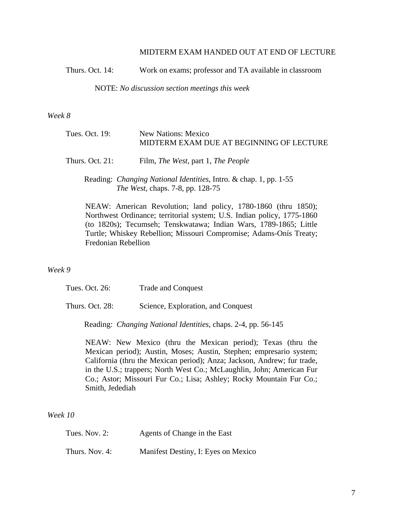#### MIDTERM EXAM HANDED OUT AT END OF LECTURE

Thurs. Oct. 14: Work on exams; professor and TA available in classroom

NOTE: *No discussion section meetings this week*

*Week 8*

| Tues. Oct. 19:  | <b>New Nations: Mexico</b><br>MIDTERM EXAM DUE AT BEGINNING OF LECTURE                                        |
|-----------------|---------------------------------------------------------------------------------------------------------------|
| Thurs. Oct. 21: | Film, <i>The West</i> , part 1, <i>The People</i>                                                             |
|                 | Reading: <i>Changing National Identities</i> , Intro. & chap. 1, pp. 1-55<br>The West, chaps. 7-8, pp. 128-75 |

NEAW: American Revolution; land policy, 1780-1860 (thru 1850); Northwest Ordinance; territorial system; U.S. Indian policy, 1775-1860 (to 1820s); Tecumseh; Tenskwatawa; Indian Wars, 1789-1865; Little Turtle; Whiskey Rebellion; Missouri Compromise; Adams-Onís Treaty; Fredonian Rebellion

## *Week 9*

Tues. Oct. 26: Trade and Conquest

Thurs. Oct. 28: Science, Exploration, and Conquest

Reading: *Changing National Identities*, chaps. 2-4, pp. 56-145

NEAW: New Mexico (thru the Mexican period); Texas (thru the Mexican period); Austin, Moses; Austin, Stephen; empresario system; California (thru the Mexican period); Anza; Jackson, Andrew; fur trade, in the U.S.; trappers; North West Co.; McLaughlin, John; American Fur Co.; Astor; Missouri Fur Co.; Lisa; Ashley; Rocky Mountain Fur Co.; Smith, Jedediah

# *Week 10*

| Tues. Nov. 2:  | Agents of Change in the East        |
|----------------|-------------------------------------|
| Thurs. Nov. 4: | Manifest Destiny, I: Eyes on Mexico |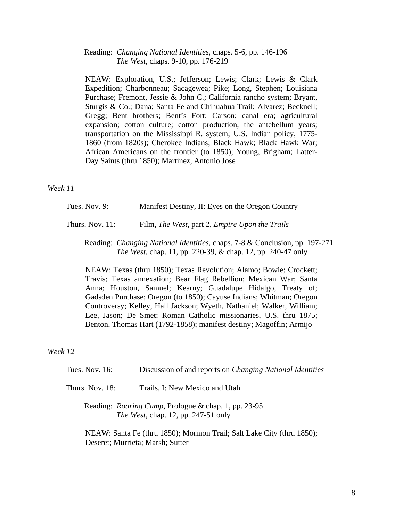Reading: *Changing National Identities*, chaps. 5-6, pp. 146-196 *The West,* chaps. 9-10, pp. 176-219

NEAW: Exploration, U.S.; Jefferson; Lewis; Clark; Lewis & Clark Expedition; Charbonneau; Sacagewea; Pike; Long, Stephen; Louisiana Purchase; Fremont, Jessie & John C.; California rancho system; Bryant, Sturgis & Co.; Dana; Santa Fe and Chihuahua Trail; Alvarez; Becknell; Gregg; Bent brothers; Bent's Fort; Carson; canal era; agricultural expansion; cotton culture; cotton production, the antebellum years; transportation on the Mississippi R. system; U.S. Indian policy, 1775- 1860 (from 1820s); Cherokee Indians; Black Hawk; Black Hawk War; African Americans on the frontier (to 1850); Young, Brigham; Latter-Day Saints (thru 1850); Martínez, Antonio Jose

*Week 11*

Tues. Nov. 9: Manifest Destiny, II: Eyes on the Oregon Country

Thurs. Nov. 11: Film, *The West,* part 2, *Empire Upon the Trails*

 Reading: *Changing National Identities*, chaps. 7-8 & Conclusion, pp. 197-271 *The West*, chap. 11, pp. 220-39, & chap. 12, pp. 240-47 only

NEAW: Texas (thru 1850); Texas Revolution; Alamo; Bowie; Crockett; Travis; Texas annexation; Bear Flag Rebellion; Mexican War; Santa Anna; Houston, Samuel; Kearny; Guadalupe Hidalgo, Treaty of; Gadsden Purchase; Oregon (to 1850); Cayuse Indians; Whitman; Oregon Controversy; Kelley, Hall Jackson; Wyeth, Nathaniel; Walker, William; Lee, Jason; De Smet; Roman Catholic missionaries, U.S. thru 1875; Benton, Thomas Hart (1792-1858); manifest destiny; Magoffin; Armijo

*Week 12*

| Tues. Nov. $16$ : | Discussion of and reports on <i>Changing National Identities</i>                                            |
|-------------------|-------------------------------------------------------------------------------------------------------------|
| Thurs. Nov. 18:   | Trails, I: New Mexico and Utah                                                                              |
|                   | Reading: <i>Roaring Camp</i> , Prologue & chap. 1, pp. 23-95<br><i>The West</i> , chap. 12, pp. 247-51 only |

NEAW: Santa Fe (thru 1850); Mormon Trail; Salt Lake City (thru 1850); Deseret; Murrieta; Marsh; Sutter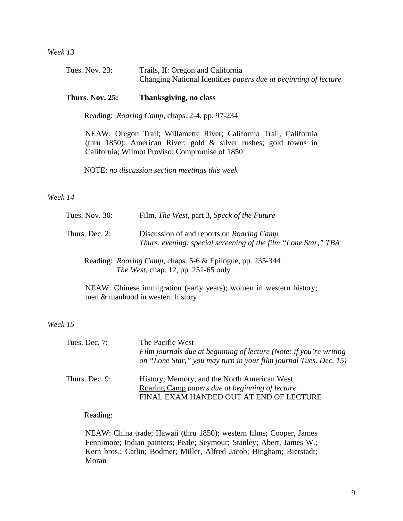*Week 13*

| Tues. Nov. $23$ : | Trails, II: Oregon and California                               |
|-------------------|-----------------------------------------------------------------|
|                   | Changing National Identities papers due at beginning of lecture |

## **Thurs. Nov. 25: Thanksgiving, no class**

Reading: *Roaring Camp*, chaps. 2-4, pp. 97-234

NEAW: Oregon Trail; Willamette River; California Trail; California (thru 1850); American River; gold & silver rushes; gold towns in California; Wilmot Proviso; Compromise of 1850

NOTE: *no discussion section meetings this week* 

#### *Week 14*

| Tues. Nov. 30: | Film, <i>The West</i> , part 3, <i>Speck of the Future</i>                                                         |
|----------------|--------------------------------------------------------------------------------------------------------------------|
| Thurs. Dec. 2: | Discussion of and reports on <i>Roaring Camp</i><br>Thurs. evening: special screening of the film "Lone Star," TBA |
|                |                                                                                                                    |

 Reading: *Roaring Camp*, chaps. 5-6 & Epilogue, pp. 235-344 *The West*, chap. 12, pp. 251-65 only

NEAW: Chinese immigration (early years); women in western history; men & manhood in western history

*Week 15*

| Tues. Dec. 7:  | The Pacific West<br>Film journals due at beginning of lecture (Note: if you're writing<br>on "Lone Star," you may turn in your film journal Tues. Dec. 15) |
|----------------|------------------------------------------------------------------------------------------------------------------------------------------------------------|
| Thurs. Dec. 9: | History, Memory, and the North American West<br>Roaring Camp papers due at beginning of lecture<br>FINAL EXAM HANDED OUT AT END OF LECTURE                 |

Reading:

NEAW: China trade; Hawaii (thru 1850); western films; Cooper, James Fennimore; Indian painters; Peale; Seymour; Stanley; Abert, James W.; Kern bros.; Catlin; Bodmer; Miller, Alfred Jacob; Bingham; Bierstadt; Moran